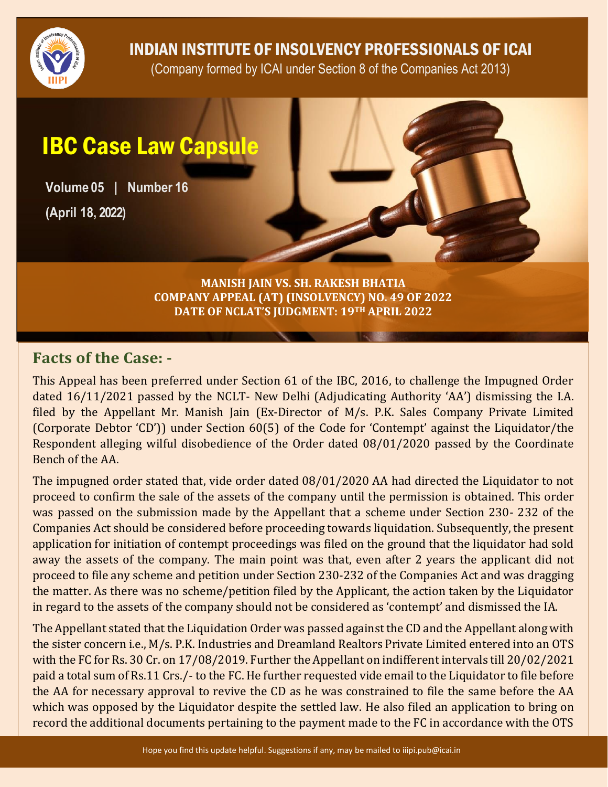

INDIAN INSTITUTE OF INSOLVENCY PROFESSIONALS OF ICAI

(Company formed by ICAI under Section 8 of the Companies Act 2013)

## IBC Case Law Capsule

**Volume 05 | Number 16 (April 18, 2022)**

> **MANISH JAIN VS. SH. RAKESH BHATIA COMPANY APPEAL (AT) (INSOLVENCY) NO. 49 OF 2022 DATE OF NCLAT'S JUDGMENT: 19TH APRIL 2022**

## **Facts of the Case: -**

This Appeal has been preferred under Section 61 of the IBC, 2016, to challenge the Impugned Order dated 16/11/2021 passed by the NCLT- New Delhi (Adjudicating Authority 'AA') dismissing the I.A. filed by the Appellant Mr. Manish Jain (Ex-Director of M/s. P.K. Sales Company Private Limited (Corporate Debtor 'CD')) under Section 60(5) of the Code for 'Contempt' against the Liquidator/the Respondent alleging wilful disobedience of the Order dated 08/01/2020 passed by the Coordinate Bench of the AA.

The impugned order stated that, vide order dated 08/01/2020 AA had directed the Liquidator to not proceed to confirm the sale of the assets of the company until the permission is obtained. This order was passed on the submission made by the Appellant that a scheme under Section 230- 232 of the Companies Act should be considered before proceeding towards liquidation. Subsequently, the present application for initiation of contempt proceedings was filed on the ground that the liquidator had sold away the assets of the company. The main point was that, even after 2 years the applicant did not proceed to file any scheme and petition under Section 230-232 of the Companies Act and was dragging the matter. As there was no scheme/petition filed by the Applicant, the action taken by the Liquidator in regard to the assets of the company should not be considered as 'contempt' and dismissed the IA.

The Appellant stated that the Liquidation Order was passed against the CD and the Appellant along with the sister concern i.e., M/s. P.K. Industries and Dreamland Realtors Private Limited entered into an OTS with the FC for Rs. 30 Cr. on 17/08/2019. Further the Appellant on indifferent intervals till 20/02/2021 paid a total sum of Rs.11 Crs./- to the FC. He further requested vide email to the Liquidator to file before the AA for necessary approval to revive the CD as he was constrained to file the same before the AA which was opposed by the Liquidator despite the settled law. He also filed an application to bring on record the additional documents pertaining to the payment made to the FC in accordance with the OTS